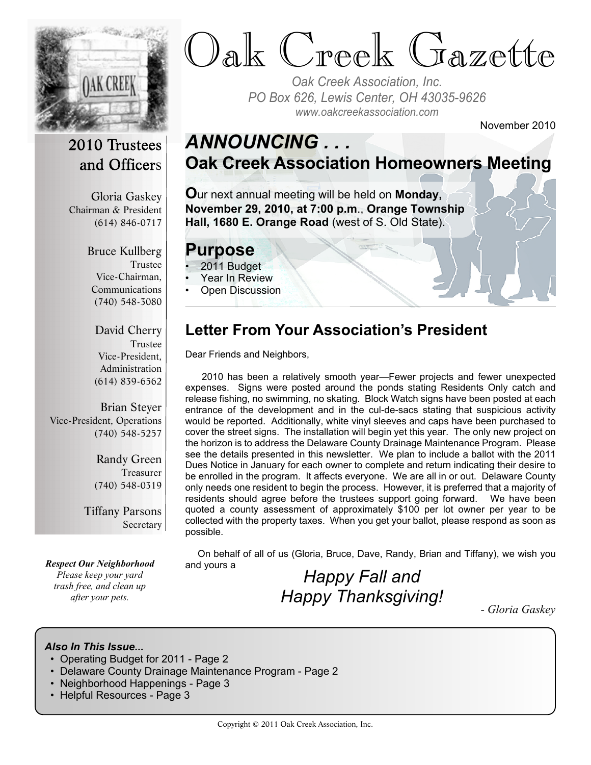

# Oak Creek Gazette

*Oak Creek Association, Inc. PO Box 626, Lewis Center, OH 43035-9626 www.oakcreekassociation.com*

November 2010

# 2010 Trustees and Officers

Gloria Gaskey Chairman & President (614) 846-0717

> Bruce Kullberg Trustee Vice-Chairman, Communications (740) 548-3080

David Cherry Trustee Vice-President, Administration (614) 839-6562

Brian Steyer Vice-President, Operations (740) 548-5257

> Randy Green Treasurer (740) 548-0319

Tiffany Parsons Secretary

*Respect Our Neighborhood Please keep your yard trash free, and clean up after your pets.*

# *ANNOUNCING . . .* **Oak Creek Association Homeowners Meeting**

**O**ur next annual meeting will be held on **Monday, November 29, 2010, at 7:00 p.m**., **Orange Township Hall, 1680 E. Orange Road** (west of S. Old State).

#### **Purpose**

- 2011 Budget
- Year In Review
- Open Discussion

# **Letter From Your Association's President**

Dear Friends and Neighbors,

 2010 has been a relatively smooth year—Fewer projects and fewer unexpected expenses. Signs were posted around the ponds stating Residents Only catch and release fishing, no swimming, no skating. Block Watch signs have been posted at each entrance of the development and in the cul-de-sacs stating that suspicious activity would be reported. Additionally, white vinyl sleeves and caps have been purchased to cover the street signs. The installation will begin yet this year. The only new project on the horizon is to address the Delaware County Drainage Maintenance Program. Please see the details presented in this newsletter. We plan to include a ballot with the 2011 Dues Notice in January for each owner to complete and return indicating their desire to be enrolled in the program. It affects everyone. We are all in or out. Delaware County only needs one resident to begin the process. However, it is preferred that a majority of residents should agree before the trustees support going forward. We have been quoted a county assessment of approximately \$100 per lot owner per year to be collected with the property taxes. When you get your ballot, please respond as soon as possible.

 On behalf of all of us (Gloria, Bruce, Dave, Randy, Brian and Tiffany), we wish you and yours a

# *Happy Fall and Happy Thanksgiving!*

*- Gloria Gaskey*

#### *Also In This Issue...*

- Operating Budget for 2011 Page 2
- Delaware County Drainage Maintenance Program Page 2
- Neighborhood Happenings Page 3
- Helpful Resources Page 3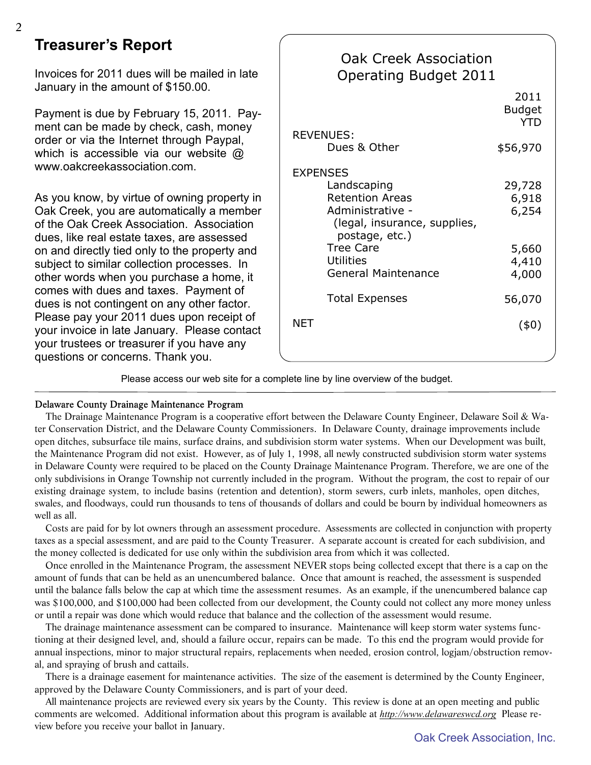### **Treasurer's Report**

Invoices for 2011 dues will be mailed in late January in the amount of \$150.00.

Payment is due by February 15, 2011. Payment can be made by check, cash, money order or via the Internet through Paypal, which is accessible via our website @ www.oakcreekassociation.com.

As you know, by virtue of owning property in Oak Creek, you are automatically a member of the Oak Creek Association. Association dues, like real estate taxes, are assessed on and directly tied only to the property and subject to similar collection processes. In other words when you purchase a home, it comes with dues and taxes. Payment of dues is not contingent on any other factor. Please pay your 2011 dues upon receipt of your invoice in late January. Please contact your trustees or treasurer if you have any questions or concerns. Thank you.

| Oak Creek Association<br>Operating Budget 2011                                                                                                                                                       |                                                     |
|------------------------------------------------------------------------------------------------------------------------------------------------------------------------------------------------------|-----------------------------------------------------|
|                                                                                                                                                                                                      | 2011<br><b>Budget</b><br><b>YTD</b>                 |
| <b>REVENUES:</b><br>Dues & Other                                                                                                                                                                     | \$56,970                                            |
| <b>EXPENSES</b><br>Landscaping<br><b>Retention Areas</b><br>Administrative -<br>(legal, insurance, supplies,<br>postage, etc.)<br><b>Tree Care</b><br><b>Utilities</b><br><b>General Maintenance</b> | 29,728<br>6,918<br>6,254<br>5,660<br>4,410<br>4,000 |
| <b>Total Expenses</b>                                                                                                                                                                                | 56,070                                              |
| <b>NET</b>                                                                                                                                                                                           | (40)                                                |

Please access our web site for a complete line by line overview of the budget.

Delaware County Drainage Maintenance Program

The Drainage Maintenance Program is a cooperative effort between the Delaware County Engineer, Delaware Soil & Water Conservation District, and the Delaware County Commissioners. In Delaware County, drainage improvements include open ditches, subsurface tile mains, surface drains, and subdivision storm water systems. When our Development was built, the Maintenance Program did not exist. However, as of July 1, 1998, all newly constructed subdivision storm water systems in Delaware County were required to be placed on the County Drainage Maintenance Program. Therefore, we are one of the only subdivisions in Orange Township not currently included in the program. Without the program, the cost to repair of our existing drainage system, to include basins (retention and detention), storm sewers, curb inlets, manholes, open ditches, swales, and floodways, could run thousands to tens of thousands of dollars and could be bourn by individual homeowners as well as all.

 Costs are paid for by lot owners through an assessment procedure. Assessments are collected in conjunction with property taxes as a special assessment, and are paid to the County Treasurer. A separate account is created for each subdivision, and the money collected is dedicated for use only within the subdivision area from which it was collected.

 Once enrolled in the Maintenance Program, the assessment NEVER stops being collected except that there is a cap on the amount of funds that can be held as an unencumbered balance. Once that amount is reached, the assessment is suspended until the balance falls below the cap at which time the assessment resumes. As an example, if the unencumbered balance cap was \$100,000, and \$100,000 had been collected from our development, the County could not collect any more money unless or until a repair was done which would reduce that balance and the collection of the assessment would resume.

 The drainage maintenance assessment can be compared to insurance. Maintenance will keep storm water systems functioning at their designed level, and, should a failure occur, repairs can be made. To this end the program would provide for annual inspections, minor to major structural repairs, replacements when needed, erosion control, logjam/obstruction removal, and spraying of brush and cattails.

 There is a drainage easement for maintenance activities. The size of the easement is determined by the County Engineer, approved by the Delaware County Commissioners, and is part of your deed.

 All maintenance projects are reviewed every six years by the County. This review is done at an open meeting and public comments are welcomed. Additional information about this program is available at *http://www.delawareswcd.org* Please review before you receive your ballot in January.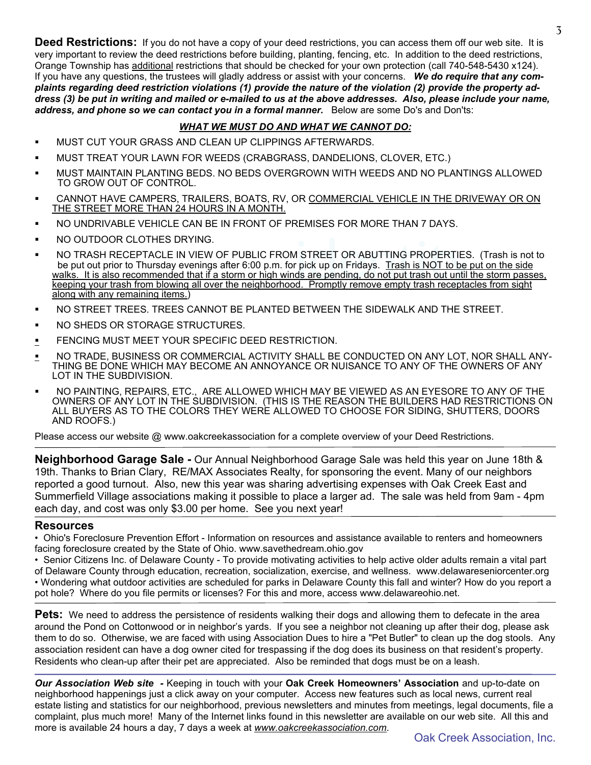Deed Restrictions: If you do not have a copy of your deed restrictions, you can access them off our web site. It is very important to review the deed restrictions before building, planting, fencing, etc. In addition to the deed restrictions, Orange Township has additional restrictions that should be checked for your own protection (call 740-548-5430 x124). If you have any questions, the trustees will gladly address or assist with your concerns. *We do require that any complaints regarding deed restriction violations (1) provide the nature of the violation (2) provide the property address (3) be put in writing and mailed or e-mailed to us at the above addresses. Also, please include your name, address, and phone so we can contact you in a formal manner.* Below are some Do's and Don'ts:

#### *WHAT WE MUST DO AND WHAT WE CANNOT DO:*

- ß MUST CUT YOUR GRASS AND CLEAN UP CLIPPINGS AFTERWARDS.
- ß MUST TREAT YOUR LAWN FOR WEEDS (CRABGRASS, DANDELIONS, CLOVER, ETC.)
- ß MUST MAINTAIN PLANTING BEDS. NO BEDS OVERGROWN WITH WEEDS AND NO PLANTINGS ALLOWED TO GROW OUT OF CONTROL.
- CANNOT HAVE CAMPERS, TRAILERS, BOATS, RV, OR COMMERCIAL VEHICLE IN THE DRIVEWAY OR ON THE STREET MORE THAN 24 HOURS IN A MONTH.
- ß NO UNDRIVABLE VEHICLE CAN BE IN FRONT OF PREMISES FOR MORE THAN 7 DAYS.
- ß NO OUTDOOR CLOTHES DRYING.
- 1 STREET OR ABUTTING PROPERTIES.<br>' pick up on Fridays. <u>Trash is NOT to be p</u><br>ds are pending, do not put trash out until ti<br>d. Promptly remove empty trash receptac ß NO TRASH RECEPTACLE IN VIEW OF PUBLIC FROM STREET OR ABUTTING PROPERTIES. (Trash is not to be put out prior to Thursday evenings after 6:00 p.m. for pick up on Fridays. Trash is NOT to be put on the side walks. It is also recommended that if a storm or high winds are pending, do not put trash out until the storm passes, keeping your trash from blowing all over the neighborhood. Promptly remove empty trash receptacles from sight along with any remaining items.)
- ß NO STREET TREES. TREES CANNOT BE PLANTED BETWEEN THE SIDEWALK AND THE STREET.
- ß NO SHEDS OR STORAGE STRUCTURES.
- **FENCING MUST MEET YOUR SPECIFIC DEED RESTRICTION.**
- NO TRADE, BUSINESS OR COMMERCIAL ACTIVITY SHALL BE CONDUCTED ON ANY LOT, NOR SHALL ANY-THING BE DONE WHICH MAY BECOME AN ANNOYANCE OR NUISANCE TO ANY OF THE OWNERS OF ANY LOT IN THE SUBDIVISION.
- ß NO PAINTING, REPAIRS, ETC., ARE ALLOWED WHICH MAY BE VIEWED AS AN EYESORE TO ANY OF THE OWNERS OF ANY LOT IN THE SUBDIVISION. (THIS IS THE REASON THE BUILDERS HAD RESTRICTIONS ON ALL BUYERS AS TO THE COLORS THEY WERE ALLOWED TO CHOOSE FOR SIDING, SHUTTERS, DOORS AND ROOFS.)

Please access our website @ www.oakcreekassociation for a complete overview of your Deed Restrictions.

**Neighborhood Garage Sale -** Our Annual Neighborhood Garage Sale was held this year on June 18th & 19th. Thanks to Brian Clary, RE/MAX Associates Realty, for sponsoring the event. Many of our neighbors reported a good turnout. Also, new this year was sharing advertising expenses with Oak Creek East and Summerfield Village associations making it possible to place a larger ad. The sale was held from 9am - 4pm each day, and cost was only \$3.00 per home. See you next year!

#### **Resources**

• Ohio's Foreclosure Prevention Effort - Information on resources and assistance available to renters and homeowners facing foreclosure created by the State of Ohio. www.savethedream.ohio.gov

• Senior Citizens Inc. of Delaware County - To provide motivating activities to help active older adults remain a vital part of Delaware County through education, recreation, socialization, exercise, and wellness. www.delawareseniorcenter.org • Wondering what outdoor activities are scheduled for parks in Delaware County this fall and winter? How do you report a pot hole? Where do you file permits or licenses? For this and more, access www.delawareohio.net.

**Pets:** We need to address the persistence of residents walking their dogs and allowing them to defecate in the area around the Pond on Cottonwood or in neighbor's yards. If you see a neighbor not cleaning up after their dog, please ask them to do so. Otherwise, we are faced with using Association Dues to hire a "Pet Butler" to clean up the dog stools. Any association resident can have a dog owner cited for trespassing if the dog does its business on that resident's property. Residents who clean-up after their pet are appreciated. Also be reminded that dogs must be on a leash.

*Our Association Web site -* Keeping in touch with your **Oak Creek Homeowners' Association** and up-to-date on neighborhood happenings just a click away on your computer. Access new features such as local news, current real estate listing and statistics for our neighborhood, previous newsletters and minutes from meetings, legal documents, file a complaint, plus much more! Many of the Internet links found in this newsletter are available on our web site. All this and more is available 24 hours a day, 7 days a week at *www.oakcreekassociation.com*.